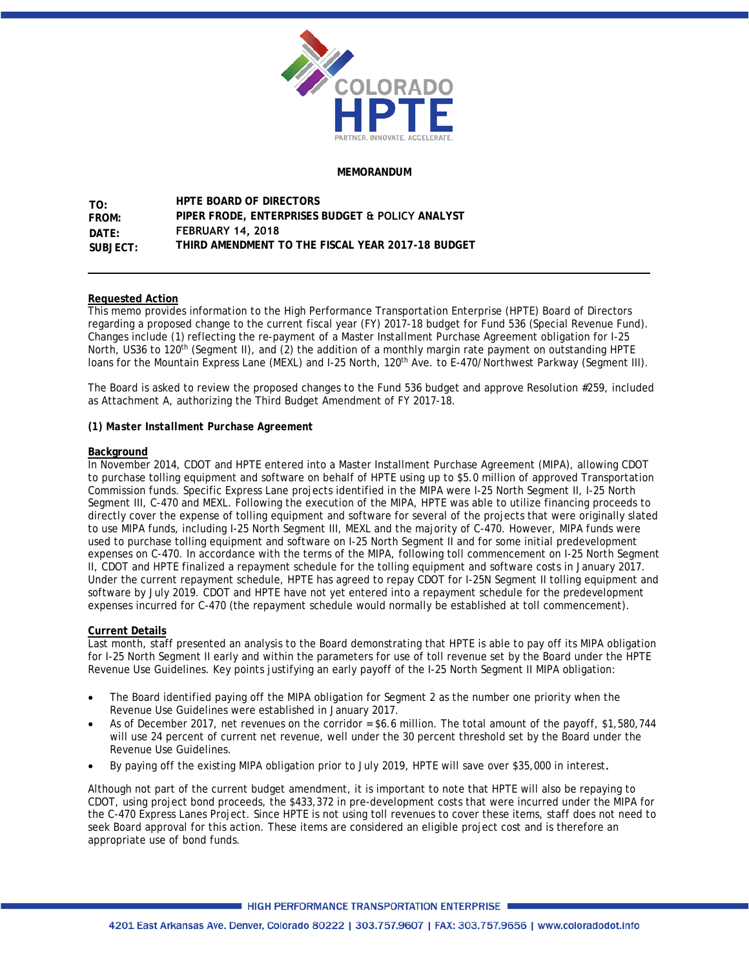

#### **MEMORANDUM**

**TO: DATE: FROM: SUBJECT: HPTE BOARD OF DIRECTORS PIPER FRODE, ENTERPRISES BUDGET & POLICY ANALYST FEBRUARY 14, 2018 THIRD AMENDMENT TO THE FISCAL YEAR 2017-18 BUDGET** 

#### **Requested Action**

This memo provides information to the High Performance Transportation Enterprise (HPTE) Board of Directors regarding a proposed change to the current fiscal year (FY) 2017-18 budget for Fund 536 (Special Revenue Fund). Changes include (1) reflecting the re-payment of a Master Installment Purchase Agreement obligation for I-25 North, US36 to 120<sup>th</sup> (Segment II), and (2) the addition of a monthly margin rate payment on outstanding HPTE loans for the Mountain Express Lane (MEXL) and I-25 North, 120th Ave. to E-470/Northwest Parkway (Segment III).

The Board is asked to review the proposed changes to the Fund 536 budget and approve Resolution #259, included as Attachment A, authorizing the Third Budget Amendment of FY 2017-18.

#### *(1) Master Installment Purchase Agreement*

#### **Background**

In November 2014, CDOT and HPTE entered into a Master Installment Purchase Agreement (MIPA), allowing CDOT to purchase tolling equipment and software on behalf of HPTE using up to \$5.0 million of approved Transportation Commission funds. Specific Express Lane projects identified in the MIPA were I-25 North Segment II, I-25 North Segment III, C-470 and MEXL. Following the execution of the MIPA, HPTE was able to utilize financing proceeds to directly cover the expense of tolling equipment and software for several of the projects that were originally slated to use MIPA funds, including I-25 North Segment III, MEXL and the majority of C-470. However, MIPA funds were used to purchase tolling equipment and software on I-25 North Segment II and for some initial predevelopment expenses on C-470. In accordance with the terms of the MIPA, following toll commencement on I-25 North Segment II, CDOT and HPTE finalized a repayment schedule for the tolling equipment and software costs in January 2017. Under the current repayment schedule, HPTE has agreed to repay CDOT for I-25N Segment II tolling equipment and software by July 2019. CDOT and HPTE have not yet entered into a repayment schedule for the predevelopment expenses incurred for C-470 (the repayment schedule would normally be established at toll commencement).

#### **Current Details**

Last month, staff presented an analysis to the Board demonstrating that HPTE is able to pay off its MIPA obligation for I-25 North Segment II early and within the parameters for use of toll revenue set by the Board under the HPTE Revenue Use Guidelines. Key points justifying an early payoff of the I-25 North Segment II MIPA obligation:

- The Board identified paying off the MIPA obligation for Segment 2 as the number one priority when the Revenue Use Guidelines were established in January 2017.
- As of December 2017, net revenues on the corridor = \$6.6 million. The total amount of the payoff, \$1,580,744 will use 24 percent of current net revenue, well under the 30 percent threshold set by the Board under the Revenue Use Guidelines.
- By paying off the existing MIPA obligation prior to July 2019, HPTE will save over \$35,000 in interest.

Although not part of the current budget amendment, it is important to note that HPTE will also be repaying to CDOT, using project bond proceeds, the \$433,372 in pre-development costs that were incurred under the MIPA for the C-470 Express Lanes Project. Since HPTE is not using toll revenues to cover these items, staff does not need to seek Board approval for this action. These items are considered an eligible project cost and is therefore an appropriate use of bond funds.

**HIGH PERFORMANCE TRANSPORTATION ENTERPRISE**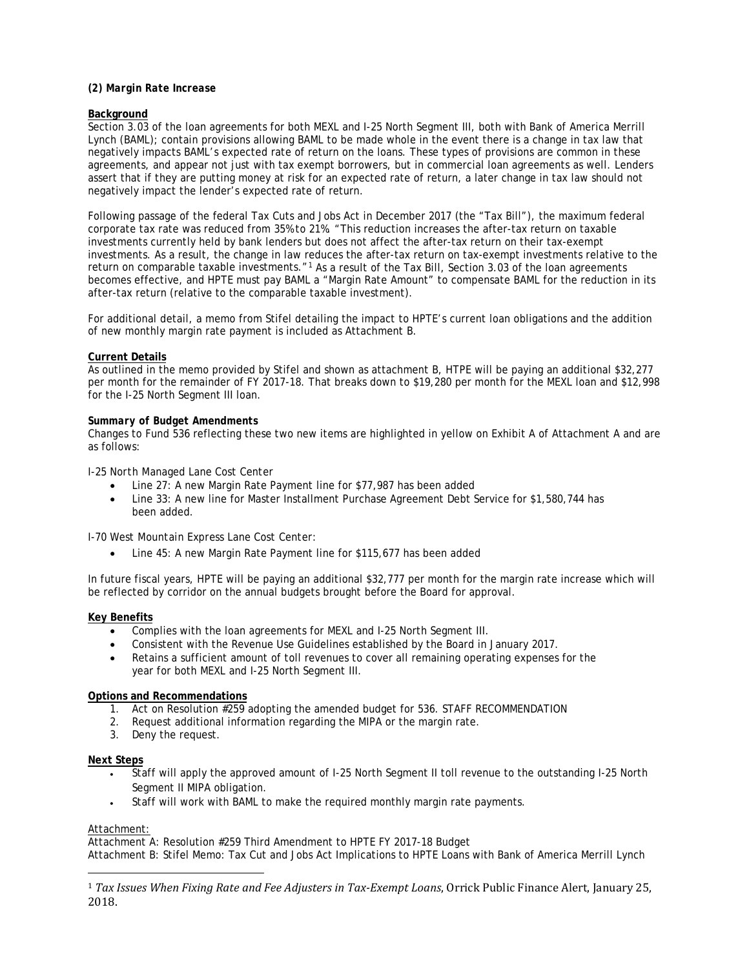#### *(2) Margin Rate Increase*

#### **Background**

Section 3.03 of the loan agreements for both MEXL and I-25 North Segment III, both with Bank of America Merrill Lynch (BAML); contain provisions allowing BAML to be made whole in the event there is a change in tax law that negatively impacts BAML's expected rate of return on the loans. These types of provisions are common in these agreements, and appear not just with tax exempt borrowers, but in commercial loan agreements as well. Lenders assert that if they are putting money at risk for an expected rate of return, a later change in tax law should not negatively impact the lender's expected rate of return.

Following passage of the federal Tax Cuts and Jobs Act in December 2017 (the "Tax Bill"), the maximum federal corporate tax rate was reduced from 35% to 21%. "This reduction increases the after-tax return on taxable investments currently held by bank lenders but does not affect the after-tax return on their tax-exempt investments. As a result, the change in law reduces the after-tax return on tax-exempt investments relative to the return on comparable taxable investments."<sup>[1](#page-1-0)</sup> As a result of the Tax Bill, Section 3.03 of the loan agreements becomes effective, and HPTE must pay BAML a "Margin Rate Amount" to compensate BAML for the reduction in its after-tax return (relative to the comparable taxable investment).

For additional detail, a memo from Stifel detailing the impact to HPTE's current loan obligations and the addition of new monthly margin rate payment is included as Attachment B.

#### **Current Details**

As outlined in the memo provided by Stifel and shown as attachment B, HTPE will be paying an additional \$32,277 per month for the remainder of FY 2017-18. That breaks down to \$19,280 per month for the MEXL loan and \$12,998 for the I-25 North Segment III loan.

#### *Summary of Budget Amendments*

Changes to Fund 536 reflecting these two new items are highlighted in yellow on Exhibit A of Attachment A and are as follows:

#### *I-25 North Managed Lane Cost Center*

- Line 27: A new Margin Rate Payment line for \$77,987 has been added
- Line 33: A new line for Master Installment Purchase Agreement Debt Service for \$1,580,744 has been added.

#### *I-70 West Mountain Express Lane Cost Center:*

• Line 45: A new Margin Rate Payment line for \$115,677 has been added

In future fiscal years, HPTE will be paying an additional \$32,777 per month for the margin rate increase which will be reflected by corridor on the annual budgets brought before the Board for approval.

#### **Key Benefits**

- Complies with the loan agreements for MEXL and I-25 North Segment III.
- Consistent with the Revenue Use Guidelines established by the Board in January 2017.
- Retains a sufficient amount of toll revenues to cover all remaining operating expenses for the year for both MEXL and I-25 North Segment III.

#### **Options and Recommendations**

- 1. Act on Resolution  $\sqrt{\frac{259}{259}}$  adopting the amended budget for 536. STAFF RECOMMENDATION
- 2. Request additional information regarding the MIPA or the margin rate.
- 3. Deny the request.

#### **Next Steps**

- Staff will apply the approved amount of I-25 North Segment II toll revenue to the outstanding I-25 North Segment II MIPA obligation.
- Staff will work with BAML to make the required monthly margin rate payments.

#### Attachment:

Attachment A: Resolution #259 Third Amendment to HPTE FY 2017-18 Budget Attachment B: Stifel Memo: Tax Cut and Jobs Act Implications to HPTE Loans with Bank of America Merrill Lynch

<span id="page-1-0"></span><sup>1</sup> *Tax Issues When Fixing Rate and Fee Adjusters in Tax-Exempt Loans*, Orrick Public Finance Alert, January 25, 2018.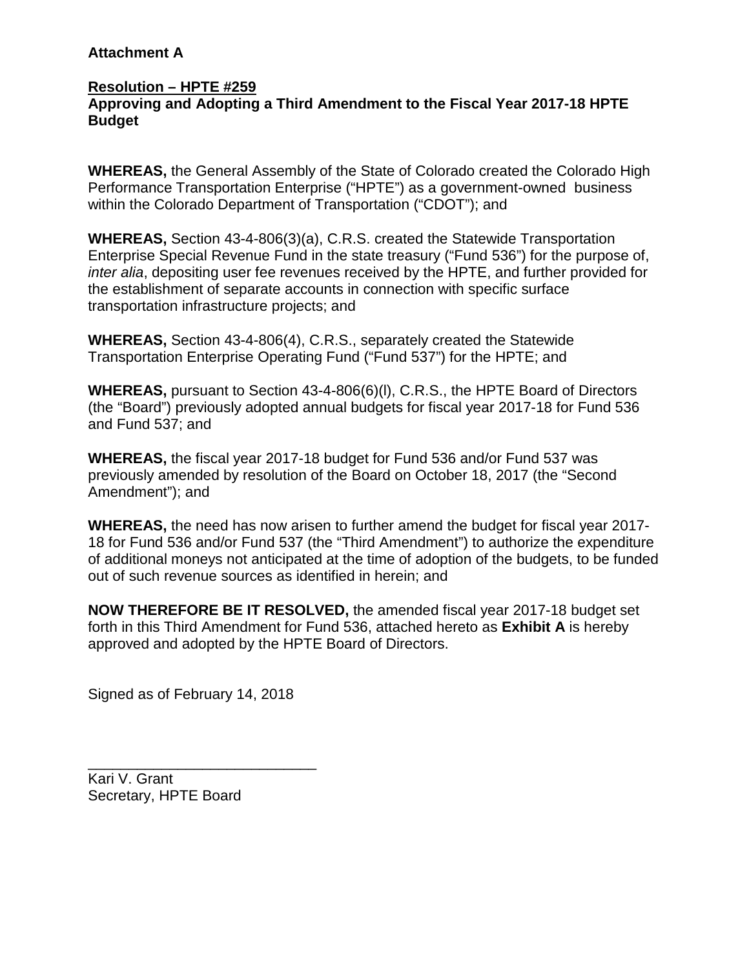# **Attachment A**

## **Resolution – HPTE #259 Approving and Adopting a Third Amendment to the Fiscal Year 2017-18 HPTE Budget**

**WHEREAS,** the General Assembly of the State of Colorado created the Colorado High Performance Transportation Enterprise ("HPTE") as a government-owned business within the Colorado Department of Transportation ("CDOT"); and

**WHEREAS,** Section 43-4-806(3)(a), C.R.S. created the Statewide Transportation Enterprise Special Revenue Fund in the state treasury ("Fund 536") for the purpose of, *inter alia*, depositing user fee revenues received by the HPTE, and further provided for the establishment of separate accounts in connection with specific surface transportation infrastructure projects; and

**WHEREAS,** Section 43-4-806(4), C.R.S., separately created the Statewide Transportation Enterprise Operating Fund ("Fund 537") for the HPTE; and

**WHEREAS,** pursuant to Section 43-4-806(6)(l), C.R.S., the HPTE Board of Directors (the "Board") previously adopted annual budgets for fiscal year 2017-18 for Fund 536 and Fund 537; and

**WHEREAS,** the fiscal year 2017-18 budget for Fund 536 and/or Fund 537 was previously amended by resolution of the Board on October 18, 2017 (the "Second Amendment"); and

**WHEREAS,** the need has now arisen to further amend the budget for fiscal year 2017- 18 for Fund 536 and/or Fund 537 (the "Third Amendment") to authorize the expenditure of additional moneys not anticipated at the time of adoption of the budgets, to be funded out of such revenue sources as identified in herein; and

**NOW THEREFORE BE IT RESOLVED,** the amended fiscal year 2017-18 budget set forth in this Third Amendment for Fund 536, attached hereto as **Exhibit A** is hereby approved and adopted by the HPTE Board of Directors.

Signed as of February 14, 2018

\_\_\_\_\_\_\_\_\_\_\_\_\_\_\_\_\_\_\_\_\_\_\_\_\_\_\_\_

Kari V. Grant Secretary, HPTE Board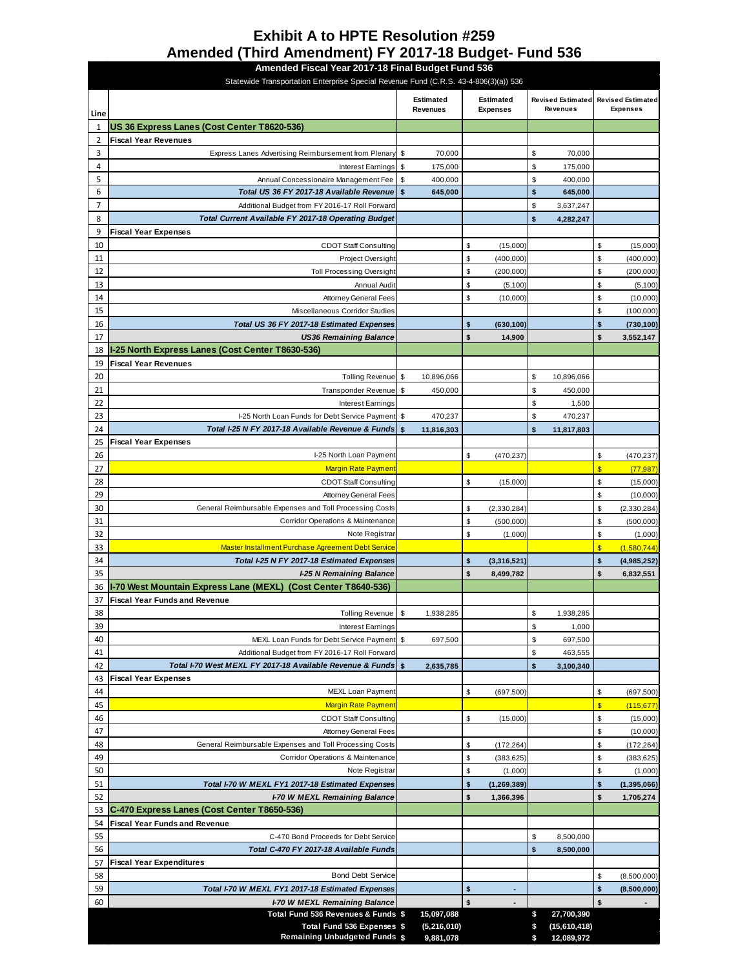# **Exhibit A to HPTE Resolution #259 Amended (Third Amendment) FY 2017-18 Budget- Fund 536**

|                | Amended Fiscal Year 2017-18 Final Budget Fund 536<br>Statewide Transportation Enterprise Special Revenue Fund (C.R.S. 43-4-806(3)(a)) 536 |                              |                            |                                     |                 |          |                                                        |                  |                        |  |  |
|----------------|-------------------------------------------------------------------------------------------------------------------------------------------|------------------------------|----------------------------|-------------------------------------|-----------------|----------|--------------------------------------------------------|------------------|------------------------|--|--|
| Line           |                                                                                                                                           | <b>Estimated</b><br>Revenues |                            | <b>Estimated</b><br><b>Expenses</b> | <b>Revenues</b> |          | Revised Estimated Revised Estimated<br><b>Expenses</b> |                  |                        |  |  |
| $\mathbf{1}$   | US 36 Express Lanes (Cost Center T8620-536)                                                                                               |                              |                            |                                     |                 |          |                                                        |                  |                        |  |  |
| $\overline{2}$ | <b>Fiscal Year Revenues</b>                                                                                                               |                              |                            |                                     |                 |          |                                                        |                  |                        |  |  |
| 3              | Express Lanes Advertising Reimbursement from Plenary                                                                                      | \$                           | 70,000                     |                                     |                 | \$       | 70,000                                                 |                  |                        |  |  |
| 4              | Interest Earnings                                                                                                                         | \$                           | 175,000                    |                                     |                 | \$       | 175,000                                                |                  |                        |  |  |
| 5              | Annual Concessionaire Management Fee                                                                                                      | \$                           | 400,000                    |                                     |                 | \$       | 400,000                                                |                  |                        |  |  |
| 6              | Total US 36 FY 2017-18 Available Revenue                                                                                                  | \$                           | 645,000                    |                                     |                 | \$       | 645,000                                                |                  |                        |  |  |
| $\overline{7}$ | Additional Budget from FY 2016-17 Roll Forward                                                                                            |                              |                            |                                     |                 | \$       | 3,637,247                                              |                  |                        |  |  |
| 8              | Total Current Available FY 2017-18 Operating Budget                                                                                       |                              |                            |                                     |                 | \$       | 4,282,247                                              |                  |                        |  |  |
| 9              | <b>Fiscal Year Expenses</b>                                                                                                               |                              |                            |                                     |                 |          |                                                        |                  |                        |  |  |
| 10             | <b>CDOT Staff Consulting</b>                                                                                                              |                              |                            | \$                                  | (15,000)        |          |                                                        | \$               | (15,000)               |  |  |
| 11             | Project Oversight                                                                                                                         |                              |                            | \$                                  | (400,000)       |          |                                                        | \$               | (400,000)              |  |  |
| 12             | <b>Toll Processing Oversight</b>                                                                                                          |                              |                            | \$                                  | (200,000)       |          |                                                        | \$               | (200,000)              |  |  |
| 13             | Annual Audit                                                                                                                              |                              |                            | \$                                  | (5,100)         |          |                                                        | \$               | (5, 100)               |  |  |
| 14             | <b>Attorney General Fees</b>                                                                                                              |                              |                            | \$                                  | (10,000)        |          |                                                        | \$               | (10,000)               |  |  |
| 15             | Miscellaneous Corridor Studies                                                                                                            |                              |                            |                                     |                 |          |                                                        | \$               | (100,000)              |  |  |
| 16<br>17       | Total US 36 FY 2017-18 Estimated Expenses                                                                                                 |                              |                            | \$<br>\$                            | (630, 100)      |          |                                                        | \$<br>\$         | (730, 100)             |  |  |
| 18             | <b>US36 Remaining Balance</b><br>I-25 North Express Lanes (Cost Center T8630-536)                                                         |                              |                            |                                     | 14,900          |          |                                                        |                  | 3,552,147              |  |  |
| 19             | <b>Fiscal Year Revenues</b>                                                                                                               |                              |                            |                                     |                 |          |                                                        |                  |                        |  |  |
| 20             | Tolling Revenue                                                                                                                           | \$                           | 10,896,066                 |                                     |                 | \$       | 10,896,066                                             |                  |                        |  |  |
| 21             | <b>Transponder Revenue</b>                                                                                                                | \$                           | 450,000                    |                                     |                 | \$       | 450,000                                                |                  |                        |  |  |
| 22             | Interest Earnings                                                                                                                         |                              |                            |                                     |                 | \$       | 1,500                                                  |                  |                        |  |  |
| 23             | I-25 North Loan Funds for Debt Service Payment                                                                                            | \$                           | 470,237                    |                                     |                 | \$       | 470,237                                                |                  |                        |  |  |
| 24             | Total I-25 N FY 2017-18 Available Revenue & Funds                                                                                         | \$                           | 11,816,303                 |                                     |                 | \$       | 11,817,803                                             |                  |                        |  |  |
| 25             | <b>Fiscal Year Expenses</b>                                                                                                               |                              |                            |                                     |                 |          |                                                        |                  |                        |  |  |
| 26             | I-25 North Loan Payment                                                                                                                   |                              |                            | \$                                  | (470, 237)      |          |                                                        | \$               | (470, 237)             |  |  |
| 27             | <b>Margin Rate Payment</b>                                                                                                                |                              |                            |                                     |                 |          |                                                        | $\sqrt{2}$       | (77, 987)              |  |  |
| 28             | <b>CDOT Staff Consulting</b>                                                                                                              |                              |                            | \$                                  | (15,000)        |          |                                                        | \$               | (15,000)               |  |  |
| 29             | Attorney General Fees                                                                                                                     |                              |                            |                                     |                 |          |                                                        | \$               | (10,000)               |  |  |
| 30             | General Reimbursable Expenses and Toll Processing Costs                                                                                   |                              |                            | \$                                  | (2,330,284)     |          |                                                        | \$               | (2, 330, 284)          |  |  |
| 31             | <b>Corridor Operations &amp; Maintenance</b>                                                                                              |                              |                            | \$                                  | (500,000)       |          |                                                        | \$               | (500,000)              |  |  |
| 32             | Note Registrar                                                                                                                            |                              |                            | \$                                  | (1,000)         |          |                                                        | \$               | (1,000)                |  |  |
| 33             | Master Installment Purchase Agreement Debt Service                                                                                        |                              |                            |                                     |                 |          |                                                        | $\frac{1}{2}$    | (1,580,744)            |  |  |
| 34             | Total I-25 N FY 2017-18 Estimated Expenses                                                                                                |                              |                            | \$                                  | (3,316,521)     |          |                                                        | \$               | (4,985,252)            |  |  |
| 35             | I-25 N Remaining Balance                                                                                                                  |                              |                            | \$                                  | 8,499,782       |          |                                                        | \$               | 6,832,551              |  |  |
| 36             | I-70 West Mountain Express Lane (MEXL) (Cost Center T8640-536)                                                                            |                              |                            |                                     |                 |          |                                                        |                  |                        |  |  |
| 37             | <b>Fiscal Year Funds and Revenue</b>                                                                                                      |                              |                            |                                     |                 |          |                                                        |                  |                        |  |  |
| 38             | <b>Tolling Revenue</b>                                                                                                                    | \$                           | 1,938,285                  |                                     |                 | \$       | 1,938,285                                              |                  |                        |  |  |
| 39             | Interest Earnings                                                                                                                         |                              |                            |                                     |                 | \$       | 1,000                                                  |                  |                        |  |  |
| 40             | MEXL Loan Funds for Debt Service Payment \$                                                                                               |                              | 697,500                    |                                     |                 | \$       | 697,500                                                |                  |                        |  |  |
| 41             | Additional Budget from FY 2016-17 Roll Forward                                                                                            |                              |                            |                                     |                 | \$       | 463,555                                                |                  |                        |  |  |
| 42             | Total I-70 West MEXL FY 2017-18 Available Revenue & Funds \ \$                                                                            |                              | 2,635,785                  |                                     |                 | \$       | 3,100,340                                              |                  |                        |  |  |
| 43             | <b>Fiscal Year Expenses</b>                                                                                                               |                              |                            |                                     |                 |          |                                                        |                  |                        |  |  |
| 44<br>45       | MEXL Loan Payment<br><b>Margin Rate Payment</b>                                                                                           |                              |                            | \$                                  | (697, 500)      |          |                                                        | \$<br>$\sqrt{3}$ | (697, 500)             |  |  |
| 46             | <b>CDOT Staff Consulting</b>                                                                                                              |                              |                            | \$                                  | (15,000)        |          |                                                        | \$               | (115, 677)<br>(15,000) |  |  |
| 47             | <b>Attorney General Fees</b>                                                                                                              |                              |                            |                                     |                 |          |                                                        | \$               | (10,000)               |  |  |
| 48             | General Reimbursable Expenses and Toll Processing Costs                                                                                   |                              |                            | \$                                  | (172, 264)      |          |                                                        | \$               | (172, 264)             |  |  |
| 49             | Corridor Operations & Maintenance                                                                                                         |                              |                            | \$                                  | (383, 625)      |          |                                                        | \$               | (383, 625)             |  |  |
| 50             | Note Registrar                                                                                                                            |                              |                            | \$                                  | (1,000)         |          |                                                        | \$               | (1,000)                |  |  |
| 51             | Total I-70 W MEXL FY1 2017-18 Estimated Expenses                                                                                          |                              |                            | \$                                  | (1, 269, 389)   |          |                                                        | \$               | (1, 395, 066)          |  |  |
| 52             | I-70 W MEXL Remaining Balance                                                                                                             |                              |                            | \$                                  | 1,366,396       |          |                                                        | \$               | 1,705,274              |  |  |
| 53             | C-470 Express Lanes (Cost Center T8650-536)                                                                                               |                              |                            |                                     |                 |          |                                                        |                  |                        |  |  |
| 54             | <b>Fiscal Year Funds and Revenue</b>                                                                                                      |                              |                            |                                     |                 |          |                                                        |                  |                        |  |  |
| 55             | C-470 Bond Proceeds for Debt Service                                                                                                      |                              |                            |                                     |                 | \$       | 8,500,000                                              |                  |                        |  |  |
| 56             | Total C-470 FY 2017-18 Available Funds                                                                                                    |                              |                            |                                     |                 | \$       | 8,500,000                                              |                  |                        |  |  |
| 57             | <b>Fiscal Year Expenditures</b>                                                                                                           |                              |                            |                                     |                 |          |                                                        |                  |                        |  |  |
| 58             | <b>Bond Debt Service</b>                                                                                                                  |                              |                            |                                     |                 |          |                                                        | \$               | (8,500,000)            |  |  |
| 59             | Total I-70 W MEXL FY1 2017-18 Estimated Expenses                                                                                          |                              |                            | \$                                  | $\blacksquare$  |          |                                                        | \$               | (8,500,000)            |  |  |
| 60             | I-70 W MEXL Remaining Balance                                                                                                             |                              |                            | \$                                  |                 |          |                                                        | \$               |                        |  |  |
|                | Total Fund 536 Revenues & Funds \$                                                                                                        |                              | 15,097,088                 |                                     |                 | \$       | 27,700,390                                             |                  |                        |  |  |
|                | Total Fund 536 Expenses \$<br><b>Remaining Unbudgeted Funds \$</b>                                                                        |                              | (5, 216, 010)<br>9,881,078 |                                     |                 | \$<br>\$ | (15,610,418)<br>12,089,972                             |                  |                        |  |  |
|                |                                                                                                                                           |                              |                            |                                     |                 |          |                                                        |                  |                        |  |  |